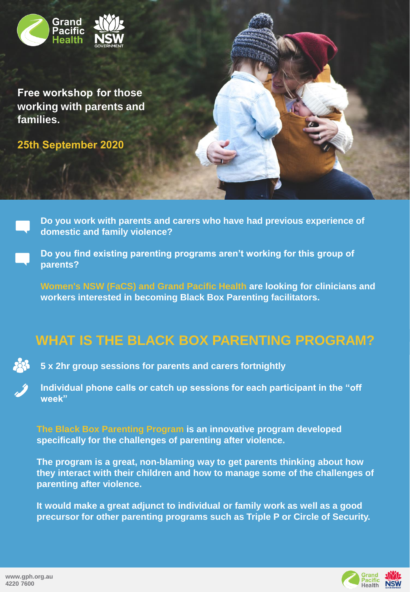

**Free workshop for those working with parents and families.**

**25th September 2020**

**Do you work with parents and carers who have had previous experience of domestic and family violence?**

**Do you find existing parenting programs aren't working for this group of parents?** 

**Women's NSW (FaCS) and Grand Pacific Health are looking for clinicians and workers interested in becoming Black Box Parenting facilitators.** 

## **WHAT IS THE BLACK BOX PARENTING PROGRAM?**



**5 x 2hr group sessions for parents and carers fortnightly**

**Individual phone calls or catch up sessions for each participant in the "off week"**

**The Black Box Parenting Program is an innovative program developed specifically for the challenges of parenting after violence.** 

**The program is a great, non-blaming way to get parents thinking about how they interact with their children and how to manage some of the challenges of parenting after violence.**

**It would make a great adjunct to individual or family work as well as a good precursor for other parenting programs such as Triple P or Circle of Security.**